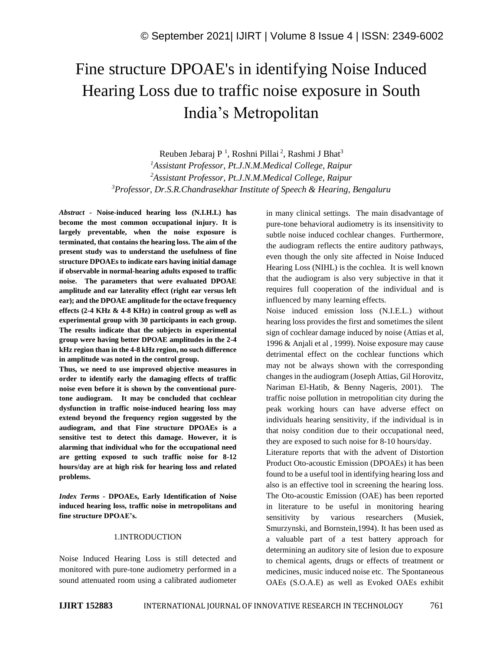# Fine structure DPOAE's in identifying Noise Induced Hearing Loss due to traffic noise exposure in South India's Metropolitan

Reuben Jebaraj P<sup>1</sup>, Roshni Pillai<sup>2</sup>, Rashmi J Bhat<sup>3</sup> *Assistant Professor, Pt.J.N.M.Medical College, Raipur Assistant Professor, Pt.J.N.M.Medical College, Raipur Professor, Dr.S.R.Chandrasekhar Institute of Speech & Hearing, Bengaluru*

*Abstract -* **Noise-induced hearing loss (N.I.H.L) has become the most common occupational injury. It is largely preventable, when the noise exposure is terminated, that contains the hearing loss. The aim of the present study was to understand the usefulness of fine structure DPOAEs to indicate ears having initial damage if observable in normal-hearing adults exposed to traffic noise. The parameters that were evaluated DPOAE amplitude and ear laterality effect (right ear versus left ear); and the DPOAE amplitude for the octave frequency effects (2-4 KHz & 4-8 KHz) in control group as well as experimental group with 30 participants in each group. The results indicate that the subjects in experimental group were having better DPOAE amplitudes in the 2-4 kHz region than in the 4-8 kHz region, no such difference in amplitude was noted in the control group.**

**Thus, we need to use improved objective measures in order to identify early the damaging effects of traffic noise even before it is shown by the conventional puretone audiogram. It may be concluded that cochlear dysfunction in traffic noise-induced hearing loss may extend beyond the frequency region suggested by the audiogram, and that Fine structure DPOAEs is a sensitive test to detect this damage. However, it is alarming that individual who for the occupational need are getting exposed to such traffic noise for 8-12 hours/day are at high risk for hearing loss and related problems.**

*Index Terms -* **DPOAEs, Early Identification of Noise induced hearing loss, traffic noise in metropolitans and fine structure DPOAE's.**

#### 1.INTRODUCTION

Noise Induced Hearing Loss is still detected and monitored with pure-tone audiometry performed in a sound attenuated room using a calibrated audiometer in many clinical settings. The main disadvantage of pure-tone behavioral audiometry is its insensitivity to subtle noise induced cochlear changes. Furthermore, the audiogram reflects the entire auditory pathways, even though the only site affected in Noise Induced Hearing Loss (NIHL) is the cochlea. It is well known that the audiogram is also very subjective in that it requires full cooperation of the individual and is influenced by many learning effects.

Noise induced emission loss (N.I.E.L.) without hearing loss provides the first and sometimes the silent sign of cochlear damage induced by noise (Attias et al, 1996 & Anjali et al , 1999). Noise exposure may cause detrimental effect on the cochlear functions which may not be always shown with the corresponding changes in the audiogram (Joseph Attias, Gil Horovitz, Nariman El-Hatib, & Benny Nageris, 2001). The traffic noise pollution in metropolitian city during the peak working hours can have adverse effect on individuals hearing sensitivity, if the individual is in that noisy condition due to their occupational need, they are exposed to such noise for 8-10 hours/day.

Literature reports that with the advent of Distortion Product Oto-acoustic Emission (DPOAEs) it has been found to be a useful tool in identifying hearing loss and also is an effective tool in screening the hearing loss. The Oto-acoustic Emission (OAE) has been reported in literature to be useful in monitoring hearing sensitivity by various researchers (Musiek, Smurzynski, and Bornstein,1994). It has been used as a valuable part of a test battery approach for determining an auditory site of lesion due to exposure to chemical agents, drugs or effects of treatment or medicines, music induced noise etc. The Spontaneous OAEs (S.O.A.E) as well as Evoked OAEs exhibit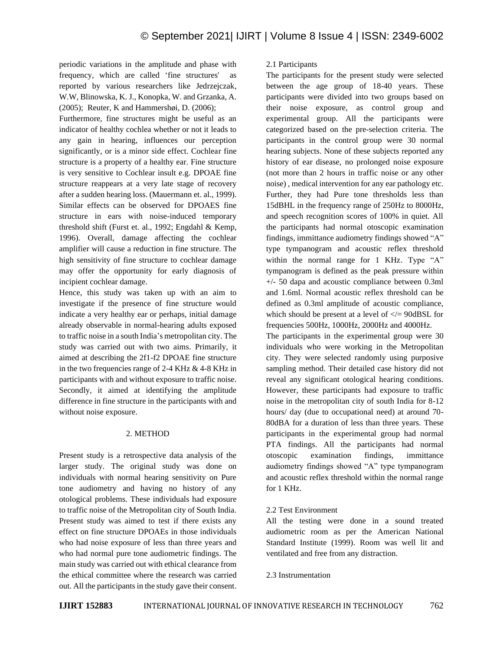periodic variations in the amplitude and phase with frequency, which are called 'fine structures' as reported by various researchers like Jedrzejczak, W.W, Blinowska, K. J., Konopka, W. and Grzanka, A. (2005); Reuter, K and Hammershøi, D. (2006);

Furthermore, fine structures might be useful as an indicator of healthy cochlea whether or not it leads to any gain in hearing, influences our perception significantly, or is a minor side effect. Cochlear fine structure is a property of a healthy ear. Fine structure is very sensitive to Cochlear insult e.g. DPOAE fine structure reappears at a very late stage of recovery after a sudden hearing loss. (Mauermann et. al., 1999). Similar effects can be observed for DPOAES fine structure in ears with noise-induced temporary threshold shift (Furst et. al., 1992; Engdahl & Kemp, 1996). Overall, damage affecting the cochlear amplifier will cause a reduction in fine structure. The high sensitivity of fine structure to cochlear damage may offer the opportunity for early diagnosis of incipient cochlear damage.

Hence, this study was taken up with an aim to investigate if the presence of fine structure would indicate a very healthy ear or perhaps, initial damage already observable in normal-hearing adults exposed to traffic noise in a south India's metropolitan city. The study was carried out with two aims. Primarily, it aimed at describing the 2f1-f2 DPOAE fine structure in the two frequencies range of 2-4 KHz  $\&$  4-8 KHz in participants with and without exposure to traffic noise. Secondly, it aimed at identifying the amplitude difference in fine structure in the participants with and without noise exposure.

#### 2. METHOD

Present study is a retrospective data analysis of the larger study. The original study was done on individuals with normal hearing sensitivity on Pure tone audiometry and having no history of any otological problems. These individuals had exposure to traffic noise of the Metropolitan city of South India. Present study was aimed to test if there exists any effect on fine structure DPOAEs in those individuals who had noise exposure of less than three years and who had normal pure tone audiometric findings. The main study was carried out with ethical clearance from the ethical committee where the research was carried out. All the participants in the study gave their consent.

# 2.1 Participants

The participants for the present study were selected between the age group of 18-40 years. These participants were divided into two groups based on their noise exposure, as control group and experimental group. All the participants were categorized based on the pre-selection criteria. The participants in the control group were 30 normal hearing subjects. None of these subjects reported any history of ear disease, no prolonged noise exposure (not more than 2 hours in traffic noise or any other noise) , medical intervention for any ear pathology etc. Further, they had Pure tone thresholds less than 15dBHL in the frequency range of 250Hz to 8000Hz, and speech recognition scores of 100% in quiet. All the participants had normal otoscopic examination findings, immittance audiometry findings showed "A" type tympanogram and acoustic reflex threshold within the normal range for 1 KHz. Type "A" tympanogram is defined as the peak pressure within +/- 50 dapa and acoustic compliance between 0.3ml and 1.6ml. Normal acoustic reflex threshold can be defined as 0.3ml amplitude of acoustic compliance, which should be present at a level of  $\langle \rangle = 90 \text{dBSL}$  for frequencies 500Hz, 1000Hz, 2000Hz and 4000Hz.

The participants in the experimental group were 30 individuals who were working in the Metropolitan city. They were selected randomly using purposive sampling method. Their detailed case history did not reveal any significant otological hearing conditions. However, these participants had exposure to traffic noise in the metropolitan city of south India for 8-12 hours/ day (due to occupational need) at around 70- 80dBA for a duration of less than three years. These participants in the experimental group had normal PTA findings. All the participants had normal otoscopic examination findings, immittance audiometry findings showed "A" type tympanogram and acoustic reflex threshold within the normal range for 1 KHz.

## 2.2 Test Environment

All the testing were done in a sound treated audiometric room as per the American National Standard Institute (1999). Room was well lit and ventilated and free from any distraction.

## 2.3 Instrumentation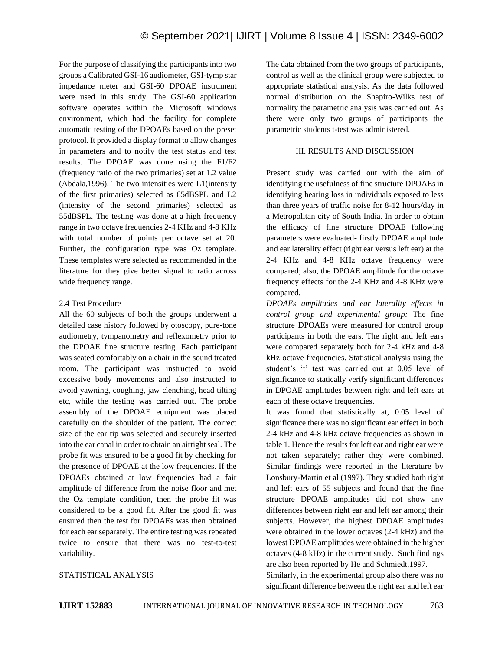For the purpose of classifying the participants into two groups a Calibrated GSI-16 audiometer, GSI-tymp star impedance meter and GSI-60 DPOAE instrument were used in this study. The GSI-60 application software operates within the Microsoft windows environment, which had the facility for complete automatic testing of the DPOAEs based on the preset protocol. It provided a display format to allow changes in parameters and to notify the test status and test results. The DPOAE was done using the F1/F2 (frequency ratio of the two primaries) set at 1.2 value (Abdala,1996). The two intensities were L1(intensity of the first primaries) selected as 65dBSPL and L2 (intensity of the second primaries) selected as 55dBSPL. The testing was done at a high frequency range in two octave frequencies 2-4 KHz and 4-8 KHz with total number of points per octave set at 20. Further, the configuration type was Oz template. These templates were selected as recommended in the literature for they give better signal to ratio across wide frequency range.

# 2.4 Test Procedure

All the 60 subjects of both the groups underwent a detailed case history followed by otoscopy, pure-tone audiometry, tympanometry and reflexometry prior to the DPOAE fine structure testing. Each participant was seated comfortably on a chair in the sound treated room. The participant was instructed to avoid excessive body movements and also instructed to avoid yawning, coughing, jaw clenching, head tilting etc, while the testing was carried out. The probe assembly of the DPOAE equipment was placed carefully on the shoulder of the patient. The correct size of the ear tip was selected and securely inserted into the ear canal in order to obtain an airtight seal. The probe fit was ensured to be a good fit by checking for the presence of DPOAE at the low frequencies. If the DPOAEs obtained at low frequencies had a fair amplitude of difference from the noise floor and met the Oz template condition, then the probe fit was considered to be a good fit. After the good fit was ensured then the test for DPOAEs was then obtained for each ear separately. The entire testing was repeated twice to ensure that there was no test-to-test variability.

# STATISTICAL ANALYSIS

The data obtained from the two groups of participants, control as well as the clinical group were subjected to appropriate statistical analysis. As the data followed normal distribution on the Shapiro-Wilks test of normality the parametric analysis was carried out. As there were only two groups of participants the parametric students t-test was administered.

# III. RESULTS AND DISCUSSION

Present study was carried out with the aim of identifying the usefulness of fine structure DPOAEs in identifying hearing loss in individuals exposed to less than three years of traffic noise for 8-12 hours/day in a Metropolitan city of South India. In order to obtain the efficacy of fine structure DPOAE following parameters were evaluated- firstly DPOAE amplitude and ear laterality effect (right ear versus left ear) at the 2-4 KHz and 4-8 KHz octave frequency were compared; also, the DPOAE amplitude for the octave frequency effects for the 2-4 KHz and 4-8 KHz were compared.

*DPOAEs amplitudes and ear laterality effects in control group and experimental group:* The fine structure DPOAEs were measured for control group participants in both the ears. The right and left ears were compared separately both for 2-4 kHz and 4-8 kHz octave frequencies. Statistical analysis using the student's 't' test was carried out at 0.05 level of significance to statically verify significant differences in DPOAE amplitudes between right and left ears at each of these octave frequencies.

It was found that statistically at, 0.05 level of significance there was no significant ear effect in both 2-4 kHz and 4-8 kHz octave frequencies as shown in table 1. Hence the results for left ear and right ear were not taken separately; rather they were combined. Similar findings were reported in the literature by Lonsbury-Martin et al (1997). They studied both right and left ears of 55 subjects and found that the fine structure DPOAE amplitudes did not show any differences between right ear and left ear among their subjects. However, the highest DPOAE amplitudes were obtained in the lower octaves (2-4 kHz) and the lowest DPOAE amplitudes were obtained in the higher octaves (4-8 kHz) in the current study. Such findings are also been reported by He and Schmiedt,1997.

Similarly, in the experimental group also there was no significant difference between the right ear and left ear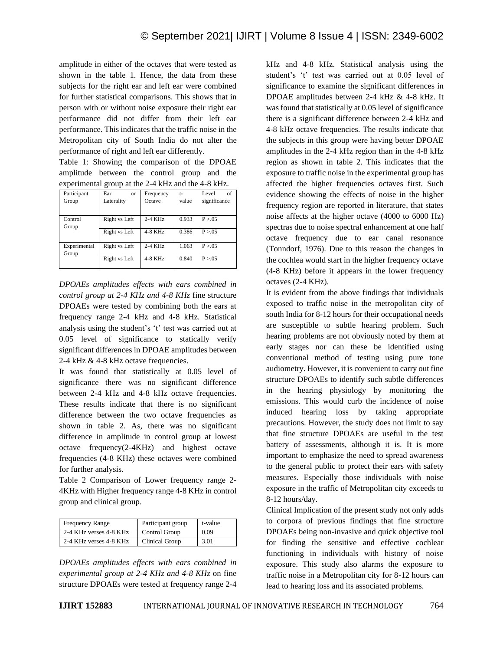amplitude in either of the octaves that were tested as shown in the table 1. Hence, the data from these subjects for the right ear and left ear were combined for further statistical comparisons. This shows that in person with or without noise exposure their right ear performance did not differ from their left ear performance. This indicates that the traffic noise in the Metropolitan city of South India do not alter the performance of right and left ear differently.

Table 1: Showing the comparison of the DPOAE amplitude between the control group and the experimental group at the 2-4 kHz and the 4-8 kHz.

| $\epsilon$ -experimental group at the $\epsilon$ rating and the restaurance |                  |           |       |              |
|-----------------------------------------------------------------------------|------------------|-----------|-------|--------------|
| Participant                                                                 | Ear<br><b>or</b> | Frequency | t-    | of<br>Level  |
| Group                                                                       | Laterality       | Octave    | value | significance |
|                                                                             |                  |           |       |              |
| Control                                                                     | Right vs Left    | $2-4$ KHz | 0.933 | P > 0.05     |
| Group                                                                       |                  |           |       |              |
|                                                                             | Right vs Left    | 4-8 KHz   | 0.386 | P > 0.05     |
|                                                                             |                  |           |       |              |
| Experimental<br>Group                                                       | Right vs Left    | $2-4$ KHz | 1.063 | P > 0.05     |
|                                                                             |                  |           |       |              |
|                                                                             | Right vs Left    | $4-8$ KHz | 0.840 | P > 0.05     |
|                                                                             |                  |           |       |              |

*DPOAEs amplitudes effects with ears combined in control group at 2-4 KHz and 4-8 KHz* fine structure DPOAEs were tested by combining both the ears at frequency range 2-4 kHz and 4-8 kHz. Statistical analysis using the student's 't' test was carried out at 0.05 level of significance to statically verify significant differences in DPOAE amplitudes between 2-4 kHz & 4-8 kHz octave frequencies.

It was found that statistically at 0.05 level of significance there was no significant difference between 2-4 kHz and 4-8 kHz octave frequencies. These results indicate that there is no significant difference between the two octave frequencies as shown in table 2. As, there was no significant difference in amplitude in control group at lowest octave frequency(2-4KHz) and highest octave frequencies (4-8 KHz) these octaves were combined for further analysis.

Table 2 Comparison of Lower frequency range 2- 4KHz with Higher frequency range 4-8 KHz in control group and clinical group.

| <b>Frequency Range</b> | Participant group | t-value |
|------------------------|-------------------|---------|
| 2-4 KHz verses 4-8 KHz | Control Group     | 0.09    |
| 2-4 KHz verses 4-8 KHz | Clinical Group    | 3.01    |

*DPOAEs amplitudes effects with ears combined in experimental group at 2-4 KHz and 4-8 KHz* on fine structure DPOAEs were tested at frequency range 2-4 kHz and 4-8 kHz. Statistical analysis using the student's 't' test was carried out at 0.05 level of significance to examine the significant differences in DPOAE amplitudes between 2-4 kHz & 4-8 kHz. It was found that statistically at 0.05 level of significance there is a significant difference between 2-4 kHz and 4-8 kHz octave frequencies. The results indicate that the subjects in this group were having better DPOAE amplitudes in the 2-4 kHz region than in the 4-8 kHz region as shown in table 2. This indicates that the exposure to traffic noise in the experimental group has affected the higher frequencies octaves first. Such evidence showing the effects of noise in the higher frequency region are reported in literature, that states noise affects at the higher octave (4000 to 6000 Hz) spectras due to noise spectral enhancement at one half octave frequency due to ear canal resonance (Tonndorf, 1976). Due to this reason the changes in the cochlea would start in the higher frequency octave (4-8 KHz) before it appears in the lower frequency octaves (2-4 KHz).

It is evident from the above findings that individuals exposed to traffic noise in the metropolitan city of south India for 8-12 hours for their occupational needs are susceptible to subtle hearing problem. Such hearing problems are not obviously noted by them at early stages nor can these be identified using conventional method of testing using pure tone audiometry. However, it is convenient to carry out fine structure DPOAEs to identify such subtle differences in the hearing physiology by monitoring the emissions. This would curb the incidence of noise induced hearing loss by taking appropriate precautions. However, the study does not limit to say that fine structure DPOAEs are useful in the test battery of assessments, although it is. It is more important to emphasize the need to spread awareness to the general public to protect their ears with safety measures. Especially those individuals with noise exposure in the traffic of Metropolitan city exceeds to 8-12 hours/day.

Clinical Implication of the present study not only adds to corpora of previous findings that fine structure DPOAEs being non-invasive and quick objective tool for finding the sensitive and effective cochlear functioning in individuals with history of noise exposure. This study also alarms the exposure to traffic noise in a Metropolitan city for 8-12 hours can lead to hearing loss and its associated problems.